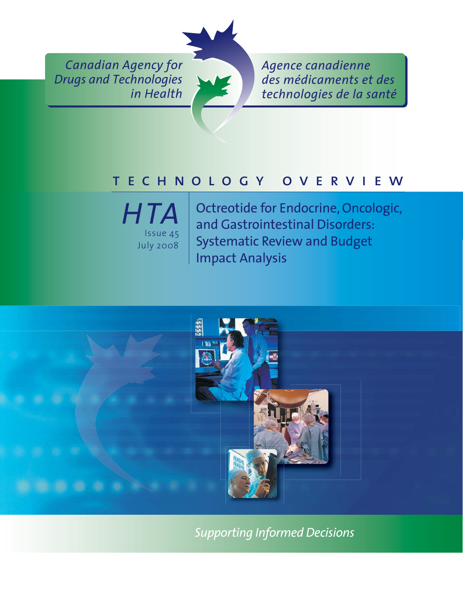*Canadian Agency for Drugs and Technologies in Health*



*Agence canadienne des médicaments et des technologies de la santé*

## technology overview



Octreotide for Endocrine, Oncologic, and Gastrointestinal Disorders: Systematic Review and Budget Impact Analysis



*Supporting Informed Decisions*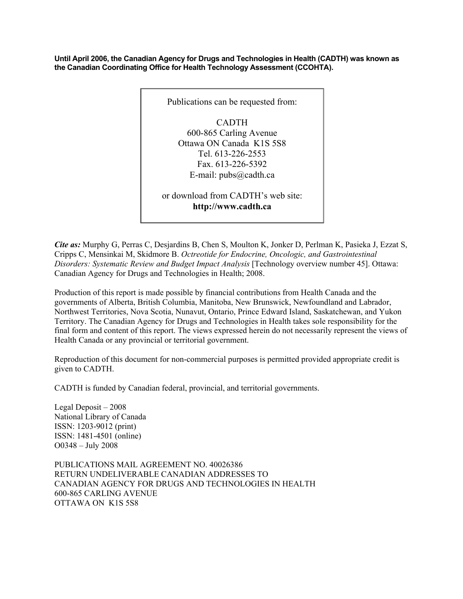**Until April 2006, the Canadian Agency for Drugs and Technologies in Health (CADTH) was known as the Canadian Coordinating Office for Health Technology Assessment (CCOHTA).** 



*Cite as:* Murphy G, Perras C, Desjardins B, Chen S, Moulton K, Jonker D, Perlman K, Pasieka J, Ezzat S, Cripps C, Mensinkai M, Skidmore B. *Octreotide for Endocrine, Oncologic, and Gastrointestinal Disorders: Systematic Review and Budget Impact Analysis* [Technology overview number 45]. Ottawa: Canadian Agency for Drugs and Technologies in Health; 2008.

Production of this report is made possible by financial contributions from Health Canada and the governments of Alberta, British Columbia, Manitoba, New Brunswick, Newfoundland and Labrador, Northwest Territories, Nova Scotia, Nunavut, Ontario, Prince Edward Island, Saskatchewan, and Yukon Territory. The Canadian Agency for Drugs and Technologies in Health takes sole responsibility for the final form and content of this report. The views expressed herein do not necessarily represent the views of Health Canada or any provincial or territorial government.

Reproduction of this document for non-commercial purposes is permitted provided appropriate credit is given to CADTH.

CADTH is funded by Canadian federal, provincial, and territorial governments.

Legal Deposit – 2008 National Library of Canada ISSN: 1203-9012 (print) ISSN: 1481-4501 (online) O0348 – July 2008

PUBLICATIONS MAIL AGREEMENT NO. 40026386 RETURN UNDELIVERABLE CANADIAN ADDRESSES TO CANADIAN AGENCY FOR DRUGS AND TECHNOLOGIES IN HEALTH 600-865 CARLING AVENUE OTTAWA ON K1S 5S8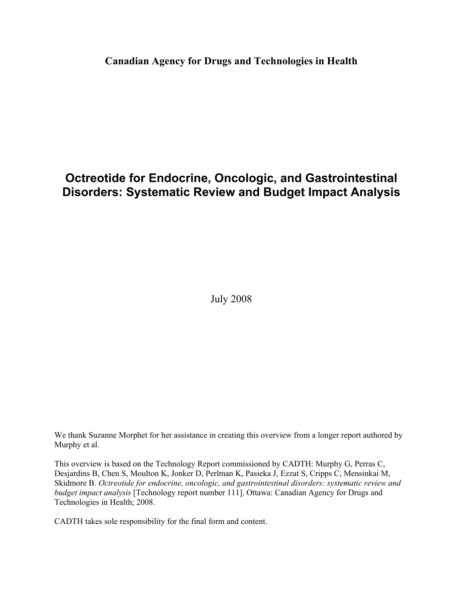#### **Canadian Agency for Drugs and Technologies in Health**

### **Octreotide for Endocrine, Oncologic, and Gastrointestinal Disorders: Systematic Review and Budget Impact Analysis**

July 2008

We thank Suzanne Morphet for her assistance in creating this overview from a longer report authored by Murphy et al.

This overview is based on the Technology Report commissioned by CADTH: Murphy G, Perras C, Desjardins B, Chen S, Moulton K, Jonker D, Perlman K, Pasieka J, Ezzat S, Cripps C, Mensinkai M, Skidmore B. *Octreotide for endocrine, oncologic, and gastrointestinal disorders: systematic review and budget impact analysis* [Technology report number 111]. Ottawa: Canadian Agency for Drugs and Technologies in Health; 2008.

CADTH takes sole responsibility for the final form and content.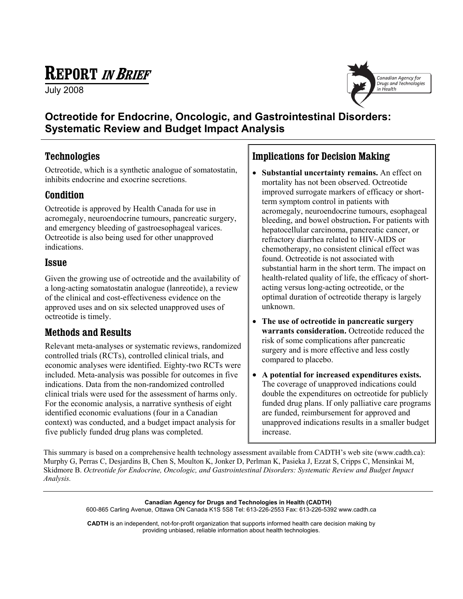# **REPORT IN BRIEF**

July 2008



#### **Octreotide for Endocrine, Oncologic, and Gastrointestinal Disorders: Systematic Review and Budget Impact Analysis**

#### **Technologies**

Octreotide, which is a synthetic analogue of somatostatin, inhibits endocrine and exocrine secretions.

#### **Condition**

Octreotide is approved by Health Canada for use in acromegaly, neuroendocrine tumours, pancreatic surgery, and emergency bleeding of gastroesophageal varices. Octreotide is also being used for other unapproved indications.

#### **Issue**

Given the growing use of octreotide and the availability of a long-acting somatostatin analogue (lanreotide), a review of the clinical and cost-effectiveness evidence on the approved uses and on six selected unapproved uses of octreotide is timely.

#### **Methods and Results**

Relevant meta-analyses or systematic reviews, randomized controlled trials (RCTs), controlled clinical trials, and economic analyses were identified. Eighty-two RCTs were included. Meta-analysis was possible for outcomes in five indications. Data from the non-randomized controlled clinical trials were used for the assessment of harms only. For the economic analysis, a narrative synthesis of eight identified economic evaluations (four in a Canadian context) was conducted, and a budget impact analysis for five publicly funded drug plans was completed.

#### **Implications for Decision Making**

- **Substantial uncertainty remains.** An effect on mortality has not been observed. Octreotide improved surrogate markers of efficacy or short term symptom control in patients with acromegaly, neuroendocrine tumours, esophageal bleeding, and bowel obstruction**.** For patients with hepatocellular carcinoma, pancreatic cancer, or refractory diarrhea related to HIV-AIDS or chemotherapy, no consistent clinical effect was found. Octreotide is not associated with substantial harm in the short term. The impact on health-related quality of life, the efficacy of short acting versus long-acting octreotide, or the optimal duration of octreotide therapy is largely unknown.
- **The use of octreotide in pancreatic surgery warrants consideration.** Octreotide reduced the risk of some complications after pancreatic surgery and is more effective and less costly compared to placebo.
- **A potential for increased expenditures exists.** The coverage of unapproved indications could double the expenditures on octreotide for publicly funded drug plans. If only palliative care programs are funded, reimbursement for approved and unapproved indications results in a smaller budget increase.

This summary is based on a comprehensive health technology assessment available from CADTH's web site (www.cadth.ca): Murphy G, Perras C, Desjardins B, Chen S, Moulton K, Jonker D, Perlman K, Pasieka J, Ezzat S, Cripps C, Mensinkai M, Skidmore B. *Octreotide for Endocrine, Oncologic, and Gastrointestinal Disorders: Systematic Review and Budget Impact Analysis.* 

> **Canadian Agency for Drugs and Technologies in Health (CADTH)**  600-865 Carling Avenue, Ottawa ON Canada K1S 5S8 Tel: 613-226-2553 Fax: 613-226-5392 www.cadth.ca

> **CADTH** is an independent, not-for-profit organization that supports informed health care decision making by providing unbiased, reliable information about health technologies.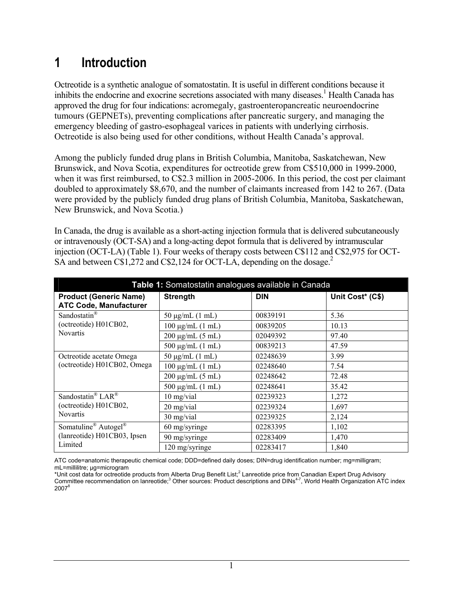# **1 Introduction**

Octreotide is a synthetic analogue of somatostatin. It is useful in different conditions because it inhibits the endocrine and exocrine secretions associated with many diseases.<sup>1</sup> Health Canada has approved the drug for four indications: acromegaly, gastroenteropancreatic neuroendocrine tumours (GEPNETs), preventing complications after pancreatic surgery, and managing the emergency bleeding of gastro-esophageal varices in patients with underlying cirrhosis. Octreotide is also being used for other conditions, without Health Canada's approval.

Among the publicly funded drug plans in British Columbia, Manitoba, Saskatchewan, New Brunswick, and Nova Scotia, expenditures for octreotide grew from C\$510,000 in 1999-2000, when it was first reimbursed, to C\$2.3 million in 2005-2006. In this period, the cost per claimant doubled to approximately \$8,670, and the number of claimants increased from 142 to 267. (Data were provided by the publicly funded drug plans of British Columbia, Manitoba, Saskatchewan, New Brunswick, and Nova Scotia.)

In Canada, the drug is available as a short-acting injection formula that is delivered subcutaneously or intravenously (OCT-SA) and a long-acting depot formula that is delivered by intramuscular injection (OCT-LA) (Table 1). Four weeks of therapy costs between C\$112 and C\$2,975 for OCT-SA and between C\$1,272 and C\$2,124 for OCT-LA, depending on the dosage.<sup>2</sup>

| Table 1: Somatostatin analogues available in Canada                                    |                       |            |                  |
|----------------------------------------------------------------------------------------|-----------------------|------------|------------------|
| <b>Product (Generic Name)</b><br><b>ATC Code, Manufacturer</b>                         | <b>Strength</b>       | <b>DIN</b> | Unit Cost* (C\$) |
| Sandostatin <sup>®</sup><br>(octreotide) H01CB02,<br><b>Novartis</b>                   | $50 \mu g/mL$ (1 mL)  | 00839191   | 5.36             |
|                                                                                        | $100 \mu g/mL$ (1 mL) | 00839205   | 10.13            |
|                                                                                        | $200 \mu g/mL (5 mL)$ | 02049392   | 97.40            |
|                                                                                        | 500 $\mu$ g/mL (1 mL) | 00839213   | 47.59            |
| Octreotide acetate Omega<br>(octreotide) H01CB02, Omega                                | $50 \mu g/mL$ (1 mL)  | 02248639   | 3.99             |
|                                                                                        | $100 \mu g/mL$ (1 mL) | 02248640   | 7.54             |
|                                                                                        | $200 \mu g/mL (5 mL)$ | 02248642   | 72.48            |
|                                                                                        | 500 $\mu$ g/mL (1 mL) | 02248641   | 35.42            |
| Sandostatin <sup>®</sup> LAR <sup>®</sup><br>(octreotide) H01CB02,<br><b>Novartis</b>  | $10$ mg/vial          | 02239323   | 1,272            |
|                                                                                        | 20 mg/vial            | 02239324   | 1,697            |
|                                                                                        | 30 mg/vial            | 02239325   | 2,124            |
| Somatuline <sup>®</sup> Autogel <sup>®</sup><br>(lanreotide) H01CB03, Ipsen<br>Limited | 60 mg/syringe         | 02283395   | 1,102            |
|                                                                                        | 90 mg/syringe         | 02283409   | 1,470            |
|                                                                                        | 120 mg/syringe        | 02283417   | 1,840            |

ATC code=anatomic therapeutic chemical code; DDD=defined daily doses; DIN=drug identification number; mg=milligram; mL=millilitre: uα=microgram

<sup>\*</sup>Unit cost data for octreotide products from Alberta Drug Benefit List;<sup>2</sup> Lanreotide price from Canadian Expert Drug Advisory Committee recommendation on lanreotide;<sup>3</sup> Other sources: Product descriptions and DINs<sup>4-7</sup>, World Health Organization ATC index 2007<sup>8</sup>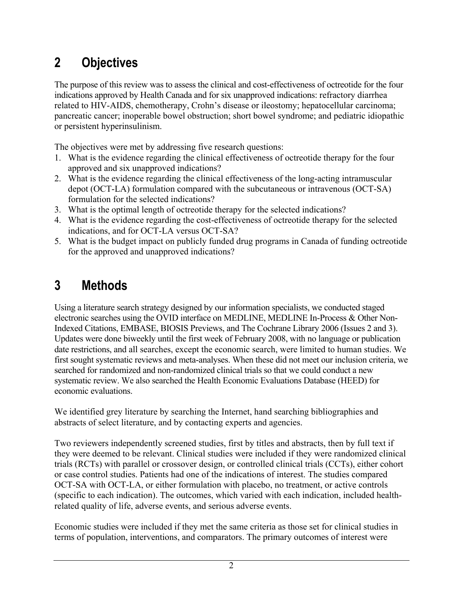# **2 Objectives**

The purpose of this review was to assess the clinical and cost-effectiveness of octreotide for the four indications approved by Health Canada and for six unapproved indications: refractory diarrhea related to HIV-AIDS, chemotherapy, Crohn's disease or ileostomy; hepatocellular carcinoma; pancreatic cancer; inoperable bowel obstruction; short bowel syndrome; and pediatric idiopathic or persistent hyperinsulinism.

The objectives were met by addressing five research questions:

- 1. What is the evidence regarding the clinical effectiveness of octreotide therapy for the four approved and six unapproved indications?
- 2. What is the evidence regarding the clinical effectiveness of the long-acting intramuscular depot (OCT-LA) formulation compared with the subcutaneous or intravenous (OCT-SA) formulation for the selected indications?
- 3. What is the optimal length of octreotide therapy for the selected indications?
- 4. What is the evidence regarding the cost-effectiveness of octreotide therapy for the selected indications, and for OCT-LA versus OCT-SA?
- 5. What is the budget impact on publicly funded drug programs in Canada of funding octreotide for the approved and unapproved indications?

# **3 Methods**

Using a literature search strategy designed by our information specialists, we conducted staged electronic searches using the OVID interface on MEDLINE, MEDLINE In-Process & Other Non-Indexed Citations, EMBASE, BIOSIS Previews, and The Cochrane Library 2006 (Issues 2 and 3). Updates were done biweekly until the first week of February 2008, with no language or publication date restrictions, and all searches, except the economic search, were limited to human studies. We first sought systematic reviews and meta-analyses. When these did not meet our inclusion criteria, we searched for randomized and non-randomized clinical trials so that we could conduct a new systematic review. We also searched the Health Economic Evaluations Database (HEED) for economic evaluations.

We identified grey literature by searching the Internet, hand searching bibliographies and abstracts of select literature, and by contacting experts and agencies.

Two reviewers independently screened studies, first by titles and abstracts, then by full text if they were deemed to be relevant. Clinical studies were included if they were randomized clinical trials (RCTs) with parallel or crossover design, or controlled clinical trials (CCTs), either cohort or case control studies. Patients had one of the indications of interest. The studies compared OCT-SA with OCT-LA, or either formulation with placebo, no treatment, or active controls (specific to each indication). The outcomes, which varied with each indication, included healthrelated quality of life, adverse events, and serious adverse events.

Economic studies were included if they met the same criteria as those set for clinical studies in terms of population, interventions, and comparators. The primary outcomes of interest were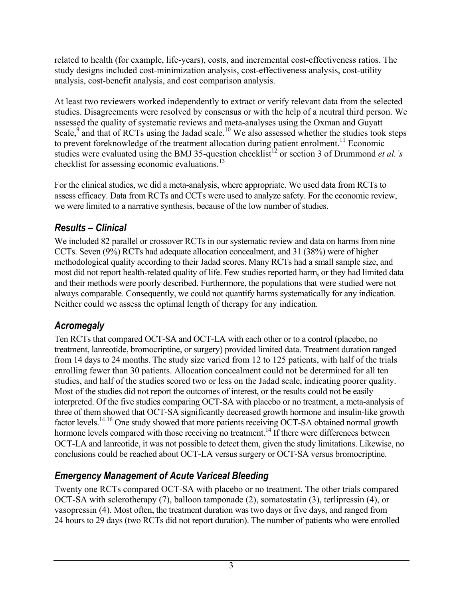related to health (for example, life-years), costs, and incremental cost-effectiveness ratios. The study designs included cost-minimization analysis, cost-effectiveness analysis, cost-utility analysis, cost-benefit analysis, and cost comparison analysis.

At least two reviewers worked independently to extract or verify relevant data from the selected studies. Disagreements were resolved by consensus or with the help of a neutral third person. We assessed the quality of systematic reviews and meta-analyses using the Oxman and Guyatt Scale,<sup>9</sup> and that of RCTs using the Jadad scale.<sup>10</sup> We also assessed whether the studies took steps to prevent foreknowledge of the treatment allocation during patient enrolment.<sup>11</sup> Economic studies were evaluated using the BMJ 35-question checklist<sup>12</sup> or section 3 of Drummond *et al.'s* checklist for assessing economic evaluations.<sup>13</sup>

For the clinical studies, we did a meta-analysis, where appropriate. We used data from RCTs to assess efficacy. Data from RCTs and CCTs were used to analyze safety. For the economic review, we were limited to a narrative synthesis, because of the low number of studies.

### *Results – Clinical*

We included 82 parallel or crossover RCTs in our systematic review and data on harms from nine CCTs. Seven (9%) RCTs had adequate allocation concealment, and 31 (38%) were of higher methodological quality according to their Jadad scores. Many RCTs had a small sample size, and most did not report health-related quality of life. Few studies reported harm, or they had limited data and their methods were poorly described. Furthermore, the populations that were studied were not always comparable. Consequently, we could not quantify harms systematically for any indication. Neither could we assess the optimal length of therapy for any indication.

### *Acromegaly*

Ten RCTs that compared OCT-SA and OCT-LA with each other or to a control (placebo, no treatment, lanreotide, bromocriptine, or surgery) provided limited data. Treatment duration ranged from 14 days to 24 months. The study size varied from 12 to 125 patients, with half of the trials enrolling fewer than 30 patients. Allocation concealment could not be determined for all ten studies, and half of the studies scored two or less on the Jadad scale, indicating poorer quality. Most of the studies did not report the outcomes of interest, or the results could not be easily interpreted. Of the five studies comparing OCT-SA with placebo or no treatment, a meta-analysis of three of them showed that OCT-SA significantly decreased growth hormone and insulin-like growth factor levels.<sup>14-16</sup> One study showed that more patients receiving OCT-SA obtained normal growth hormone levels compared with those receiving no treatment.<sup>14</sup> If there were differences between OCT-LA and lanreotide, it was not possible to detect them, given the study limitations. Likewise, no conclusions could be reached about OCT-LA versus surgery or OCT-SA versus bromocriptine.

### *Emergency Management of Acute Variceal Bleeding*

Twenty one RCTs compared OCT-SA with placebo or no treatment. The other trials compared OCT-SA with sclerotherapy (7), balloon tamponade (2), somatostatin (3), terlipressin (4), or vasopressin (4). Most often, the treatment duration was two days or five days, and ranged from 24 hours to 29 days (two RCTs did not report duration). The number of patients who were enrolled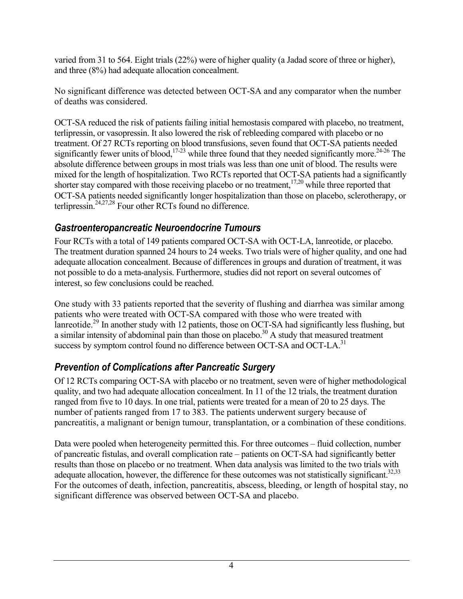varied from 31 to 564. Eight trials (22%) were of higher quality (a Jadad score of three or higher), and three (8%) had adequate allocation concealment.

No significant difference was detected between OCT-SA and any comparator when the number of deaths was considered.

OCT-SA reduced the risk of patients failing initial hemostasis compared with placebo, no treatment, terlipressin, or vasopressin. It also lowered the risk of rebleeding compared with placebo or no treatment. Of 27 RCTs reporting on blood transfusions, seven found that OCT-SA patients needed significantly fewer units of blood,<sup>17-23</sup> while three found that they needed significantly more.<sup>24-26</sup> The absolute difference between groups in most trials was less than one unit of blood. The results were mixed for the length of hospitalization. Two RCTs reported that OCT-SA patients had a significantly shorter stay compared with those receiving placebo or no treatment,  $17,20$  while three reported that OCT-SA patients needed significantly longer hospitalization than those on placebo, sclerotherapy, or terlipressin.24,27,28 Four other RCTs found no difference.

#### *Gastroenteropancreatic Neuroendocrine Tumours*

Four RCTs with a total of 149 patients compared OCT-SA with OCT-LA, lanreotide, or placebo. The treatment duration spanned 24 hours to 24 weeks. Two trials were of higher quality, and one had adequate allocation concealment. Because of differences in groups and duration of treatment, it was not possible to do a meta-analysis. Furthermore, studies did not report on several outcomes of interest, so few conclusions could be reached.

One study with 33 patients reported that the severity of flushing and diarrhea was similar among patients who were treated with OCT-SA compared with those who were treated with lanreotide.<sup>29</sup> In another study with 12 patients, those on OCT-SA had significantly less flushing, but a similar intensity of abdominal pain than those on placebo.<sup>30</sup> A study that measured treatment success by symptom control found no difference between OCT-SA and OCT-LA.<sup>31</sup>

### *Prevention of Complications after Pancreatic Surgery*

Of 12 RCTs comparing OCT-SA with placebo or no treatment, seven were of higher methodological quality, and two had adequate allocation concealment. In 11 of the 12 trials, the treatment duration ranged from five to 10 days. In one trial, patients were treated for a mean of 20 to 25 days. The number of patients ranged from 17 to 383. The patients underwent surgery because of pancreatitis, a malignant or benign tumour, transplantation, or a combination of these conditions.

Data were pooled when heterogeneity permitted this. For three outcomes – fluid collection, number of pancreatic fistulas, and overall complication rate – patients on OCT-SA had significantly better results than those on placebo or no treatment. When data analysis was limited to the two trials with adequate allocation, however, the difference for these outcomes was not statistically significant.<sup>32,33</sup> For the outcomes of death, infection, pancreatitis, abscess, bleeding, or length of hospital stay, no significant difference was observed between OCT-SA and placebo.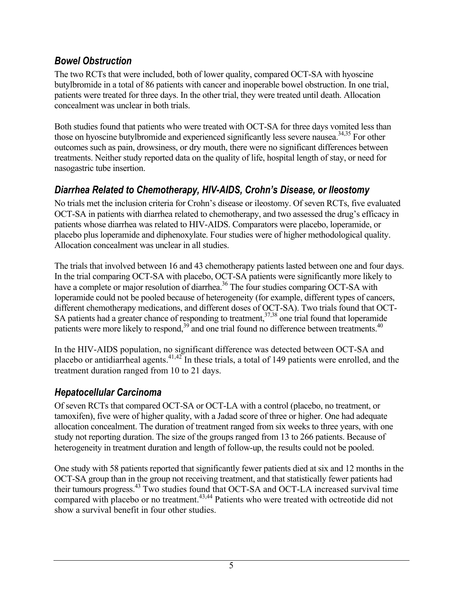#### *Bowel Obstruction*

The two RCTs that were included, both of lower quality, compared OCT-SA with hyoscine butylbromide in a total of 86 patients with cancer and inoperable bowel obstruction. In one trial, patients were treated for three days. In the other trial, they were treated until death. Allocation concealment was unclear in both trials.

Both studies found that patients who were treated with OCT-SA for three days vomited less than those on hyoscine butylbromide and experienced significantly less severe nausea.<sup>34,35</sup> For other outcomes such as pain, drowsiness, or dry mouth, there were no significant differences between treatments. Neither study reported data on the quality of life, hospital length of stay, or need for nasogastric tube insertion.

### *Diarrhea Related to Chemotherapy, HIV-AIDS, Crohn's Disease, or Ileostomy*

No trials met the inclusion criteria for Crohn's disease or ileostomy. Of seven RCTs, five evaluated OCT-SA in patients with diarrhea related to chemotherapy, and two assessed the drug's efficacy in patients whose diarrhea was related to HIV-AIDS. Comparators were placebo, loperamide, or placebo plus loperamide and diphenoxylate. Four studies were of higher methodological quality. Allocation concealment was unclear in all studies.

The trials that involved between 16 and 43 chemotherapy patients lasted between one and four days. In the trial comparing OCT-SA with placebo, OCT-SA patients were significantly more likely to have a complete or major resolution of diarrhea.<sup>36</sup> The four studies comparing OCT-SA with loperamide could not be pooled because of heterogeneity (for example, different types of cancers, different chemotherapy medications, and different doses of OCT-SA). Two trials found that OCT-SA patients had a greater chance of responding to treatment,  $37,38$  one trial found that loperamide patients were more likely to respond,<sup>39</sup> and one trial found no difference between treatments.<sup>40</sup>

In the HIV-AIDS population, no significant difference was detected between OCT-SA and placebo or antidiarrheal agents.<sup>41,42</sup> In these trials, a total of 149 patients were enrolled, and the treatment duration ranged from 10 to 21 days.

### *Hepatocellular Carcinoma*

Of seven RCTs that compared OCT-SA or OCT-LA with a control (placebo, no treatment, or tamoxifen), five were of higher quality, with a Jadad score of three or higher. One had adequate allocation concealment. The duration of treatment ranged from six weeks to three years, with one study not reporting duration. The size of the groups ranged from 13 to 266 patients. Because of heterogeneity in treatment duration and length of follow-up, the results could not be pooled.

One study with 58 patients reported that significantly fewer patients died at six and 12 months in the OCT-SA group than in the group not receiving treatment, and that statistically fewer patients had their tumours progress.43 Two studies found that OCT-SA and OCT-LA increased survival time compared with placebo or no treatment.<sup>43,44</sup> Patients who were treated with octreotide did not show a survival benefit in four other studies.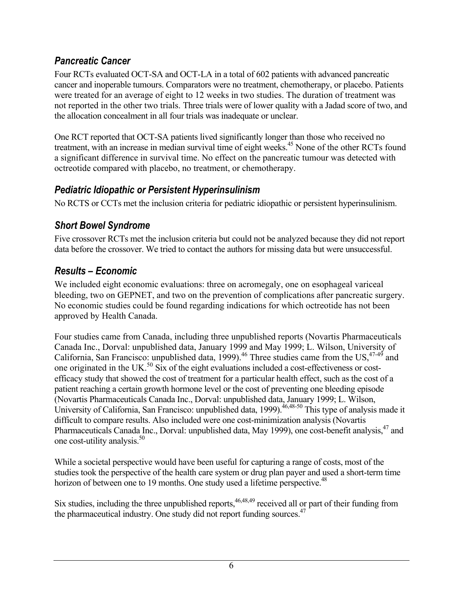#### *Pancreatic Cancer*

Four RCTs evaluated OCT-SA and OCT-LA in a total of 602 patients with advanced pancreatic cancer and inoperable tumours. Comparators were no treatment, chemotherapy, or placebo. Patients were treated for an average of eight to 12 weeks in two studies. The duration of treatment was not reported in the other two trials. Three trials were of lower quality with a Jadad score of two, and the allocation concealment in all four trials was inadequate or unclear.

One RCT reported that OCT-SA patients lived significantly longer than those who received no treatment, with an increase in median survival time of eight weeks.<sup>45</sup> None of the other RCTs found a significant difference in survival time. No effect on the pancreatic tumour was detected with octreotide compared with placebo, no treatment, or chemotherapy.

#### *Pediatric Idiopathic or Persistent Hyperinsulinism*

No RCTS or CCTs met the inclusion criteria for pediatric idiopathic or persistent hyperinsulinism.

#### *Short Bowel Syndrome*

Five crossover RCTs met the inclusion criteria but could not be analyzed because they did not report data before the crossover. We tried to contact the authors for missing data but were unsuccessful.

### *Results – Economic*

We included eight economic evaluations: three on acromegaly, one on esophageal variceal bleeding, two on GEPNET, and two on the prevention of complications after pancreatic surgery. No economic studies could be found regarding indications for which octreotide has not been approved by Health Canada.

Four studies came from Canada, including three unpublished reports (Novartis Pharmaceuticals Canada Inc., Dorval: unpublished data, January 1999 and May 1999; L. Wilson, University of California, San Francisco: unpublished data, 1999).<sup>46</sup> Three studies came from the US,  $47-49$  and one originated in the UK.50 Six of the eight evaluations included a cost-effectiveness or costefficacy study that showed the cost of treatment for a particular health effect, such as the cost of a patient reaching a certain growth hormone level or the cost of preventing one bleeding episode (Novartis Pharmaceuticals Canada Inc., Dorval: unpublished data, January 1999; L. Wilson, University of California, San Francisco: unpublished data, 1999).<sup>46,48-50</sup> This type of analysis made it difficult to compare results. Also included were one cost-minimization analysis (Novartis Pharmaceuticals Canada Inc., Dorval: unpublished data, May 1999), one cost-benefit analysis, <sup>47</sup> and one cost-utility analysis.<sup>50</sup>

While a societal perspective would have been useful for capturing a range of costs, most of the studies took the perspective of the health care system or drug plan payer and used a short-term time horizon of between one to 19 months. One study used a lifetime perspective.<sup>48</sup>

Six studies, including the three unpublished reports,  $46,48,49$  received all or part of their funding from the pharmaceutical industry. One study did not report funding sources.<sup>47</sup>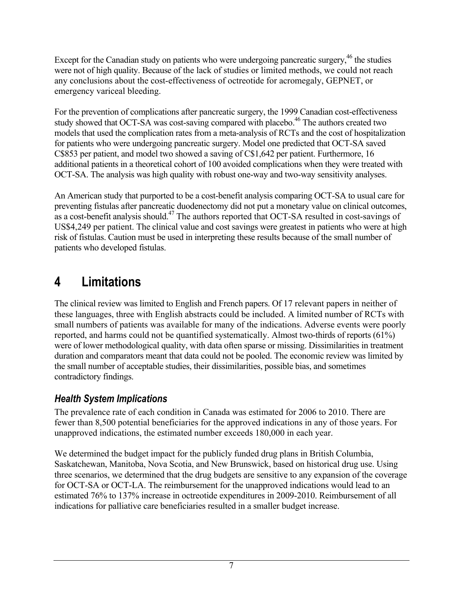Except for the Canadian study on patients who were undergoing pancreatic surgery, $46$  the studies were not of high quality. Because of the lack of studies or limited methods, we could not reach any conclusions about the cost-effectiveness of octreotide for acromegaly, GEPNET, or emergency variceal bleeding.

For the prevention of complications after pancreatic surgery, the 1999 Canadian cost-effectiveness study showed that OCT-SA was cost-saving compared with placebo.<sup>46</sup> The authors created two models that used the complication rates from a meta-analysis of RCTs and the cost of hospitalization for patients who were undergoing pancreatic surgery. Model one predicted that OCT-SA saved C\$853 per patient, and model two showed a saving of C\$1,642 per patient. Furthermore, 16 additional patients in a theoretical cohort of 100 avoided complications when they were treated with OCT-SA. The analysis was high quality with robust one-way and two-way sensitivity analyses.

An American study that purported to be a cost-benefit analysis comparing OCT-SA to usual care for preventing fistulas after pancreatic duodenectomy did not put a monetary value on clinical outcomes, as a cost-benefit analysis should.<sup>47</sup> The authors reported that OCT-SA resulted in cost-savings of US\$4,249 per patient. The clinical value and cost savings were greatest in patients who were at high risk of fistulas. Caution must be used in interpreting these results because of the small number of patients who developed fistulas.

# **4 Limitations**

The clinical review was limited to English and French papers. Of 17 relevant papers in neither of these languages, three with English abstracts could be included. A limited number of RCTs with small numbers of patients was available for many of the indications. Adverse events were poorly reported, and harms could not be quantified systematically. Almost two-thirds of reports (61%) were of lower methodological quality, with data often sparse or missing. Dissimilarities in treatment duration and comparators meant that data could not be pooled. The economic review was limited by the small number of acceptable studies, their dissimilarities, possible bias, and sometimes contradictory findings.

### *Health System Implications*

The prevalence rate of each condition in Canada was estimated for 2006 to 2010. There are fewer than 8,500 potential beneficiaries for the approved indications in any of those years. For unapproved indications, the estimated number exceeds 180,000 in each year.

We determined the budget impact for the publicly funded drug plans in British Columbia, Saskatchewan, Manitoba, Nova Scotia, and New Brunswick, based on historical drug use. Using three scenarios, we determined that the drug budgets are sensitive to any expansion of the coverage for OCT-SA or OCT-LA. The reimbursement for the unapproved indications would lead to an estimated 76% to 137% increase in octreotide expenditures in 2009-2010. Reimbursement of all indications for palliative care beneficiaries resulted in a smaller budget increase.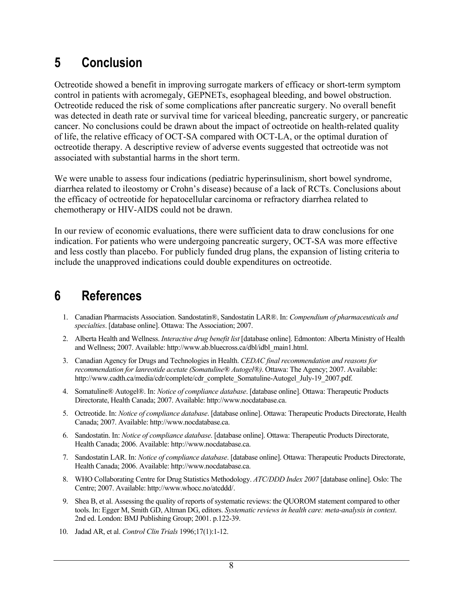# **5 Conclusion**

Octreotide showed a benefit in improving surrogate markers of efficacy or short-term symptom control in patients with acromegaly, GEPNETs, esophageal bleeding, and bowel obstruction. Octreotide reduced the risk of some complications after pancreatic surgery. No overall benefit was detected in death rate or survival time for variceal bleeding, pancreatic surgery, or pancreatic cancer. No conclusions could be drawn about the impact of octreotide on health-related quality of life, the relative efficacy of OCT-SA compared with OCT-LA, or the optimal duration of octreotide therapy. A descriptive review of adverse events suggested that octreotide was not associated with substantial harms in the short term.

We were unable to assess four indications (pediatric hyperinsulinism, short bowel syndrome, diarrhea related to ileostomy or Crohn's disease) because of a lack of RCTs. Conclusions about the efficacy of octreotide for hepatocellular carcinoma or refractory diarrhea related to chemotherapy or HIV-AIDS could not be drawn.

In our review of economic evaluations, there were sufficient data to draw conclusions for one indication. For patients who were undergoing pancreatic surgery, OCT-SA was more effective and less costly than placebo. For publicly funded drug plans, the expansion of listing criteria to include the unapproved indications could double expenditures on octreotide.

# **6 References**

- 1. Canadian Pharmacists Association. Sandostatin®, Sandostatin LAR®. In: *Compendium of pharmaceuticals and specialties*. [database online]. Ottawa: The Association; 2007.
- 2. Alberta Health and Wellness. *Interactive drug benefit list* [database online]. Edmonton: Alberta Ministry of Health and Wellness; 2007. Available: http://www.ab.bluecross.ca/dbl/idbl\_main1.html.
- 3. Canadian Agency for Drugs and Technologies in Health. *CEDAC final recommendation and reasons for recommendation for lanreotide acetate (Somatuline® Autogel®)*. Ottawa: The Agency; 2007. Available: http://www.cadth.ca/media/cdr/complete/cdr\_complete\_Somatuline-Autogel\_July-19\_2007.pdf.
- 4. Somatuline® Autogel®. In: *Notice of compliance database*. [database online]. Ottawa: Therapeutic Products Directorate, Health Canada; 2007. Available: http://www.nocdatabase.ca.
- 5. Octreotide. In: *Notice of compliance database*. [database online]. Ottawa: Therapeutic Products Directorate, Health Canada; 2007. Available: http://www.nocdatabase.ca.
- 6. Sandostatin. In: *Notice of compliance database*. [database online]. Ottawa: Therapeutic Products Directorate, Health Canada; 2006. Available: http://www.nocdatabase.ca.
- 7. Sandostatin LAR. In: *Notice of compliance database*. [database online]. Ottawa: Therapeutic Products Directorate, Health Canada; 2006. Available: http://www.nocdatabase.ca.
- 8. WHO Collaborating Centre for Drug Statistics Methodology. *ATC/DDD Index 2007* [database online]. Oslo: The Centre; 2007. Available: http://www.whocc.no/atcddd/.
- 9. Shea B, et al. Assessing the quality of reports of systematic reviews: the QUOROM statement compared to other tools. In: Egger M, Smith GD, Altman DG, editors. *Systematic reviews in health care: meta-analysis in context*. 2nd ed. London: BMJ Publishing Group; 2001. p.122-39.
- 10. Jadad AR, et al. *Control Clin Trials* 1996;17(1):1-12.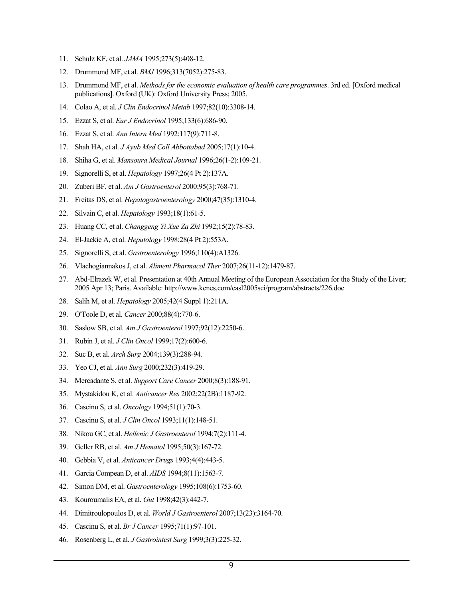- 11. Schulz KF, et al. *JAMA* 1995;273(5):408-12.
- 12. Drummond MF, et al. *BMJ* 1996;313(7052):275-83.
- 13. Drummond MF, et al. *Methods for the economic evaluation of health care programmes*. 3rd ed. [Oxford medical publications]. Oxford (UK): Oxford University Press; 2005.
- 14. Colao A, et al. *J Clin Endocrinol Metab* 1997;82(10):3308-14.
- 15. Ezzat S, et al. *Eur J Endocrinol* 1995;133(6):686-90.
- 16. Ezzat S, et al. *Ann Intern Med* 1992;117(9):711-8.
- 17. Shah HA, et al. *J Ayub Med Coll Abbottabad* 2005;17(1):10-4.
- 18. Shiha G, et al. *Mansoura Medical Journal* 1996;26(1-2):109-21.
- 19. Signorelli S, et al. *Hepatology* 1997;26(4 Pt 2):137A.
- 20. Zuberi BF, et al. *Am J Gastroenterol* 2000;95(3):768-71.
- 21. Freitas DS, et al. *Hepatogastroenterology* 2000;47(35):1310-4.
- 22. Silvain C, et al. *Hepatology* 1993;18(1):61-5.
- 23. Huang CC, et al. *Changgeng Yi Xue Za Zhi* 1992;15(2):78-83.
- 24. El-Jackie A, et al. *Hepatology* 1998;28(4 Pt 2):553A.
- 25. Signorelli S, et al. *Gastroenterology* 1996;110(4):A1326.
- 26. Vlachogiannakos J, et al. *Aliment Pharmacol Ther* 2007;26(11-12):1479-87.
- 27. Abd-Elrazek W, et al. Presentation at 40th Annual Meeting of the European Association for the Study of the Liver; 2005 Apr 13; Paris. Available: http://www.kenes.com/easl2005sci/program/abstracts/226.doc.
- 28. Salih M, et al. *Hepatology* 2005;42(4 Suppl 1):211A.
- 29. O'Toole D, et al. *Cancer* 2000;88(4):770-6.
- 30. Saslow SB, et al. *Am J Gastroenterol* 1997;92(12):2250-6.
- 31. Rubin J, et al. *J Clin Oncol* 1999;17(2):600-6.
- 32. Suc B, et al. *Arch Surg* 2004;139(3):288-94.
- 33. Yeo CJ, et al. *Ann Surg* 2000;232(3):419-29.
- 34. Mercadante S, et al. *Support Care Cancer* 2000;8(3):188-91.
- 35. Mystakidou K, et al. *Anticancer Res* 2002;22(2B):1187-92.
- 36. Cascinu S, et al. *Oncology* 1994;51(1):70-3.
- 37. Cascinu S, et al. *J Clin Oncol* 1993;11(1):148-51.
- 38. Nikou GC, et al. *Hellenic J Gastroenterol* 1994;7(2):111-4.
- 39. Geller RB, et al. *Am J Hematol* 1995;50(3):167-72.
- 40. Gebbia V, et al. *Anticancer Drugs* 1993;4(4):443-5.
- 41. Garcia Compean D, et al. *AIDS* 1994;8(11):1563-7.
- 42. Simon DM, et al. *Gastroenterology* 1995;108(6):1753-60.
- 43. Kouroumalis EA, et al. *Gut* 1998;42(3):442-7.
- 44. Dimitroulopoulos D, et al. *World J Gastroenterol* 2007;13(23):3164-70.
- 45. Cascinu S, et al. *Br J Cancer* 1995;71(1):97-101.
- 46. Rosenberg L, et al. *J Gastrointest Surg* 1999;3(3):225-32.